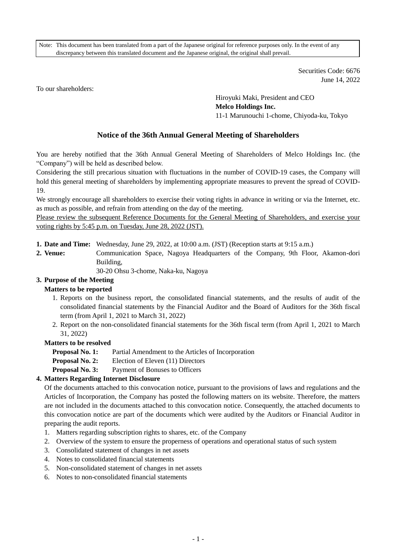Note: This document has been translated from a part of the Japanese original for reference purposes only. In the event of any discrepancy between this translated document and the Japanese original, the original shall prevail.

> Securities Code: 6676 June 14, 2022

To our shareholders:

Hiroyuki Maki, President and CEO **Melco Holdings Inc.** 11-1 Marunouchi 1-chome, Chiyoda-ku, Tokyo

# **Notice of the 36th Annual General Meeting of Shareholders**

You are hereby notified that the 36th Annual General Meeting of Shareholders of Melco Holdings Inc. (the "Company") will be held as described below.

Considering the still precarious situation with fluctuations in the number of COVID-19 cases, the Company will hold this general meeting of shareholders by implementing appropriate measures to prevent the spread of COVID-19.

We strongly encourage all shareholders to exercise their voting rights in advance in writing or via the Internet, etc. as much as possible, and refrain from attending on the day of the meeting.

Please review the subsequent Reference Documents for the General Meeting of Shareholders, and exercise your voting rights by 5:45 p.m. on Tuesday, June 28, 2022 (JST).

**1. Date and Time:** Wednesday, June 29, 2022, at 10:00 a.m. (JST) (Reception starts at 9:15 a.m.)

**2. Venue:** Communication Space, Nagoya Headquarters of the Company, 9th Floor, Akamon-dori Building,

30-20 Ohsu 3-chome, Naka-ku, Nagoya

# **3. Purpose of the Meeting**

## **Matters to be reported**

- 1. Reports on the business report, the consolidated financial statements, and the results of audit of the consolidated financial statements by the Financial Auditor and the Board of Auditors for the 36th fiscal term (from April 1, 2021 to March 31, 2022)
- 2. Report on the non-consolidated financial statements for the 36th fiscal term (from April 1, 2021 to March 31, 2022)

## **Matters to be resolved**

- **Proposal No. 1:** Partial Amendment to the Articles of Incorporation
- **Proposal No. 2:** Election of Eleven (11) Directors
- **Proposal No. 3:** Payment of Bonuses to Officers

## **4. Matters Regarding Internet Disclosure**

Of the documents attached to this convocation notice, pursuant to the provisions of laws and regulations and the Articles of Incorporation, the Company has posted the following matters on its website. Therefore, the matters are not included in the documents attached to this convocation notice. Consequently, the attached documents to this convocation notice are part of the documents which were audited by the Auditors or Financial Auditor in preparing the audit reports.

- 1. Matters regarding subscription rights to shares, etc. of the Company
- 2. Overview of the system to ensure the properness of operations and operational status of such system
- 3. Consolidated statement of changes in net assets
- 4. Notes to consolidated financial statements
- 5. Non-consolidated statement of changes in net assets
- 6. Notes to non-consolidated financial statements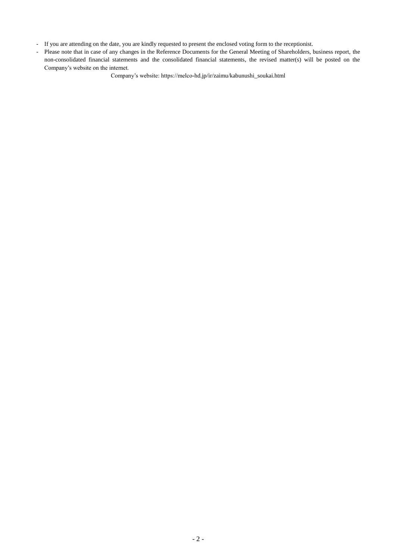- If you are attending on the date, you are kindly requested to present the enclosed voting form to the receptionist.
- Please note that in case of any changes in the Reference Documents for the General Meeting of Shareholders, business report, the non-consolidated financial statements and the consolidated financial statements, the revised matter(s) will be posted on the Company's website on the internet.

Company's website: https://melco-hd.jp/ir/zaimu/kabunushi\_soukai.html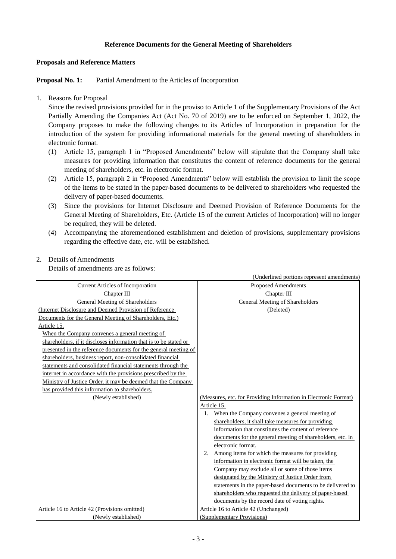# **Reference Documents for the General Meeting of Shareholders**

#### **Proposals and Reference Matters**

**Proposal No. 1:** Partial Amendment to the Articles of Incorporation

## 1. Reasons for Proposal

Since the revised provisions provided for in the proviso to Article 1 of the Supplementary Provisions of the Act Partially Amending the Companies Act (Act No. 70 of 2019) are to be enforced on September 1, 2022, the Company proposes to make the following changes to its Articles of Incorporation in preparation for the introduction of the system for providing informational materials for the general meeting of shareholders in electronic format.

- (1) Article 15, paragraph 1 in "Proposed Amendments" below will stipulate that the Company shall take measures for providing information that constitutes the content of reference documents for the general meeting of shareholders, etc. in electronic format.
- (2) Article 15, paragraph 2 in "Proposed Amendments" below will establish the provision to limit the scope of the items to be stated in the paper-based documents to be delivered to shareholders who requested the delivery of paper-based documents.
- (3) Since the provisions for Internet Disclosure and Deemed Provision of Reference Documents for the General Meeting of Shareholders, Etc. (Article 15 of the current Articles of Incorporation) will no longer be required, they will be deleted.
- (4) Accompanying the aforementioned establishment and deletion of provisions, supplementary provisions regarding the effective date, etc. will be established.

(Underlined portions represent amendments)

# 2. Details of Amendments

Details of amendments are as follows:

|                                                                   | (Underlined portions represent amendments)                      |
|-------------------------------------------------------------------|-----------------------------------------------------------------|
| <b>Current Articles of Incorporation</b>                          | <b>Proposed Amendments</b>                                      |
| Chapter III                                                       | Chapter III                                                     |
| General Meeting of Shareholders                                   | General Meeting of Shareholders                                 |
| (Internet Disclosure and Deemed Provision of Reference            | (Deleted)                                                       |
| Documents for the General Meeting of Shareholders, Etc.)          |                                                                 |
| Article 15.                                                       |                                                                 |
| When the Company convenes a general meeting of                    |                                                                 |
| shareholders, if it discloses information that is to be stated or |                                                                 |
| presented in the reference documents for the general meeting of   |                                                                 |
| shareholders, business report, non-consolidated financial         |                                                                 |
| statements and consolidated financial statements through the      |                                                                 |
| internet in accordance with the provisions prescribed by the      |                                                                 |
| Ministry of Justice Order, it may be deemed that the Company      |                                                                 |
| has provided this information to shareholders.                    |                                                                 |
| (Newly established)                                               | (Measures, etc. for Providing Information in Electronic Format) |
|                                                                   | Article 15.                                                     |
|                                                                   | When the Company convenes a general meeting of<br>$1_{-}$       |
|                                                                   | shareholders, it shall take measures for providing              |
|                                                                   | information that constitutes the content of reference           |
|                                                                   | documents for the general meeting of shareholders, etc. in      |
|                                                                   | electronic format.                                              |
|                                                                   | 2. Among items for which the measures for providing             |
|                                                                   | information in electronic format will be taken, the             |
|                                                                   | Company may exclude all or some of those items                  |
|                                                                   | designated by the Ministry of Justice Order from                |
|                                                                   | statements in the paper-based documents to be delivered to      |
|                                                                   | shareholders who requested the delivery of paper-based          |
|                                                                   | documents by the record date of voting rights.                  |
| Article 16 to Article 42 (Provisions omitted)                     | Article 16 to Article 42 (Unchanged)                            |
| (Newly established)                                               | (Supplementary Provisions)                                      |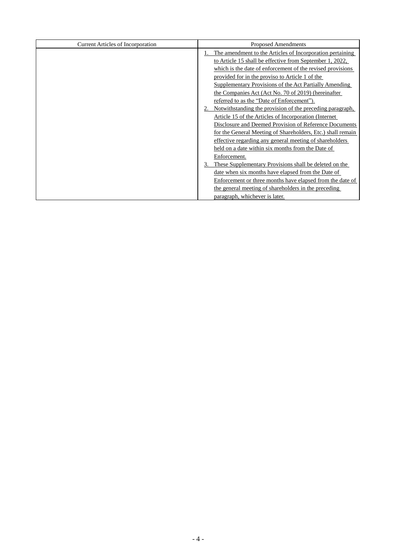| <b>Current Articles of Incorporation</b> | <b>Proposed Amendments</b>                                  |  |  |
|------------------------------------------|-------------------------------------------------------------|--|--|
|                                          | The amendment to the Articles of Incorporation pertaining   |  |  |
|                                          | to Article 15 shall be effective from September 1, 2022,    |  |  |
|                                          | which is the date of enforcement of the revised provisions  |  |  |
|                                          | provided for in the proviso to Article 1 of the             |  |  |
|                                          | Supplementary Provisions of the Act Partially Amending      |  |  |
|                                          | the Companies Act (Act No. 70 of 2019) (hereinafter         |  |  |
|                                          | referred to as the "Date of Enforcement").                  |  |  |
|                                          | Notwithstanding the provision of the preceding paragraph,   |  |  |
|                                          | Article 15 of the Articles of Incorporation (Internet)      |  |  |
|                                          | Disclosure and Deemed Provision of Reference Documents      |  |  |
|                                          | for the General Meeting of Shareholders, Etc.) shall remain |  |  |
|                                          | effective regarding any general meeting of shareholders     |  |  |
|                                          | held on a date within six months from the Date of           |  |  |
|                                          | Enforcement.                                                |  |  |
|                                          | These Supplementary Provisions shall be deleted on the      |  |  |
|                                          | date when six months have elapsed from the Date of          |  |  |
|                                          | Enforcement or three months have elapsed from the date of   |  |  |
|                                          | the general meeting of shareholders in the preceding        |  |  |
|                                          | paragraph, whichever is later.                              |  |  |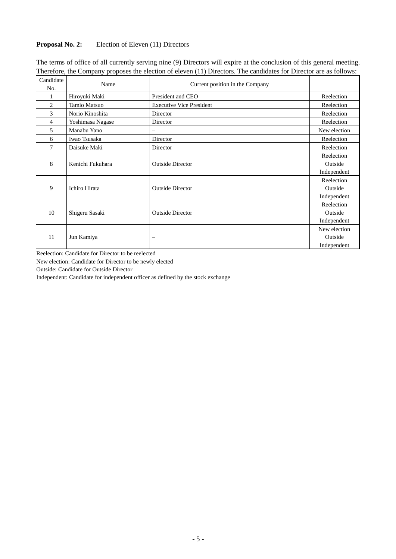# **Proposal No. 2:** Election of Eleven (11) Directors

| Candidate | Name             | Current position in the Company |              |
|-----------|------------------|---------------------------------|--------------|
| No.       |                  |                                 |              |
|           | Hiroyuki Maki    | President and CEO               | Reelection   |
| 2         | Tamio Matsuo     | <b>Executive Vice President</b> | Reelection   |
| 3         | Norio Kinoshita  | Director                        | Reelection   |
| 4         | Yoshimasa Nagase | Director                        | Reelection   |
| 5         | Manabu Yano      |                                 | New election |
| 6         | Iwao Tsusaka     | Director                        | Reelection   |
| 7         | Daisuke Maki     | Director                        | Reelection   |
|           |                  |                                 | Reelection   |
| 8         | Kenichi Fukuhara | <b>Outside Director</b>         | Outside      |
|           |                  |                                 | Independent  |
|           |                  |                                 | Reelection   |
| 9         | Ichiro Hirata    | <b>Outside Director</b>         | Outside      |
|           |                  |                                 | Independent  |
|           |                  |                                 | Reelection   |
| 10        | Shigeru Sasaki   | <b>Outside Director</b>         | Outside      |
|           |                  |                                 | Independent  |
|           |                  |                                 | New election |
| 11        | Jun Kamiya       |                                 | Outside      |
|           |                  |                                 | Independent  |

The terms of office of all currently serving nine (9) Directors will expire at the conclusion of this general meeting. Therefore, the Company proposes the election of eleven (11) Directors. The candidates for Director are as follows:

Reelection: Candidate for Director to be reelected

New election: Candidate for Director to be newly elected

Outside: Candidate for Outside Director

Independent: Candidate for independent officer as defined by the stock exchange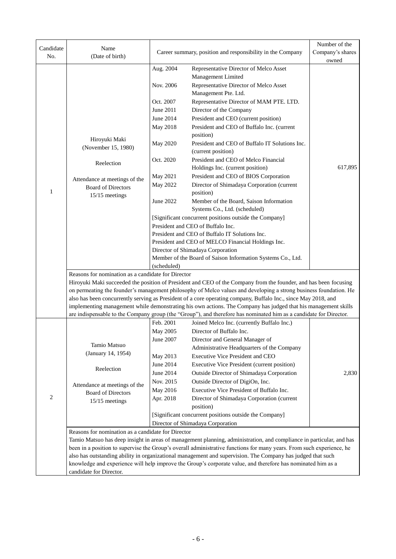| Candidate      | Name                                                              |                                                            |                                                                                                                                                                                                                                      | Number of the |  |  |  |  |
|----------------|-------------------------------------------------------------------|------------------------------------------------------------|--------------------------------------------------------------------------------------------------------------------------------------------------------------------------------------------------------------------------------------|---------------|--|--|--|--|
| No.            | (Date of birth)                                                   | Career summary, position and responsibility in the Company | Company's shares                                                                                                                                                                                                                     |               |  |  |  |  |
|                |                                                                   |                                                            |                                                                                                                                                                                                                                      | owned         |  |  |  |  |
|                |                                                                   | Aug. 2004                                                  | Representative Director of Melco Asset                                                                                                                                                                                               |               |  |  |  |  |
|                |                                                                   | Nov. 2006                                                  | Management Limited<br>Representative Director of Melco Asset                                                                                                                                                                         |               |  |  |  |  |
|                |                                                                   |                                                            | Management Pte. Ltd.                                                                                                                                                                                                                 |               |  |  |  |  |
|                |                                                                   | Oct. 2007                                                  | Representative Director of MAM PTE. LTD.                                                                                                                                                                                             |               |  |  |  |  |
|                |                                                                   | June 2011                                                  | Director of the Company                                                                                                                                                                                                              |               |  |  |  |  |
|                |                                                                   | June 2014                                                  | President and CEO (current position)                                                                                                                                                                                                 |               |  |  |  |  |
|                |                                                                   | May 2018                                                   | President and CEO of Buffalo Inc. (current                                                                                                                                                                                           |               |  |  |  |  |
|                |                                                                   |                                                            | position)                                                                                                                                                                                                                            |               |  |  |  |  |
|                | Hiroyuki Maki                                                     | May 2020                                                   | President and CEO of Buffalo IT Solutions Inc.                                                                                                                                                                                       |               |  |  |  |  |
|                | (November 15, 1980)                                               |                                                            | (current position)                                                                                                                                                                                                                   |               |  |  |  |  |
|                | Reelection                                                        | Oct. 2020                                                  | President and CEO of Melco Financial                                                                                                                                                                                                 |               |  |  |  |  |
|                |                                                                   |                                                            | Holdings Inc. (current position)                                                                                                                                                                                                     | 617,895       |  |  |  |  |
|                | Attendance at meetings of the                                     | May 2021                                                   | President and CEO of BIOS Corporation                                                                                                                                                                                                |               |  |  |  |  |
|                | <b>Board of Directors</b>                                         | May 2022                                                   | Director of Shimadaya Corporation (current                                                                                                                                                                                           |               |  |  |  |  |
| 1              | 15/15 meetings                                                    |                                                            | position)                                                                                                                                                                                                                            |               |  |  |  |  |
|                |                                                                   | June 2022                                                  | Member of the Board, Saison Information                                                                                                                                                                                              |               |  |  |  |  |
|                |                                                                   |                                                            | Systems Co., Ltd. (scheduled)                                                                                                                                                                                                        |               |  |  |  |  |
|                |                                                                   |                                                            | [Significant concurrent positions outside the Company]<br>President and CEO of Buffalo Inc.                                                                                                                                          |               |  |  |  |  |
|                |                                                                   | President and CEO of Buffalo IT Solutions Inc.             |                                                                                                                                                                                                                                      |               |  |  |  |  |
|                |                                                                   |                                                            |                                                                                                                                                                                                                                      |               |  |  |  |  |
|                |                                                                   |                                                            | President and CEO of MELCO Financial Holdings Inc.<br>Director of Shimadaya Corporation                                                                                                                                              |               |  |  |  |  |
|                |                                                                   |                                                            | Member of the Board of Saison Information Systems Co., Ltd.                                                                                                                                                                          |               |  |  |  |  |
|                |                                                                   |                                                            |                                                                                                                                                                                                                                      |               |  |  |  |  |
|                | (scheduled)<br>Reasons for nomination as a candidate for Director |                                                            |                                                                                                                                                                                                                                      |               |  |  |  |  |
|                |                                                                   |                                                            | Hiroyuki Maki succeeded the position of President and CEO of the Company from the founder, and has been focusing                                                                                                                     |               |  |  |  |  |
|                |                                                                   |                                                            | on permeating the founder's management philosophy of Melco values and developing a strong business foundation. He                                                                                                                    |               |  |  |  |  |
|                |                                                                   |                                                            | also has been concurrently serving as President of a core operating company, Buffalo Inc., since May 2018, and                                                                                                                       |               |  |  |  |  |
|                |                                                                   |                                                            | implementing management while demonstrating his own actions. The Company has judged that his management skills<br>are indispensable to the Company group (the "Group"), and therefore has nominated him as a candidate for Director. |               |  |  |  |  |
|                |                                                                   | Feb. 2001                                                  | Joined Melco Inc. (currently Buffalo Inc.)                                                                                                                                                                                           |               |  |  |  |  |
|                |                                                                   | May 2005                                                   | Director of Buffalo Inc.                                                                                                                                                                                                             |               |  |  |  |  |
|                |                                                                   | June 2007                                                  | Director and General Manager of                                                                                                                                                                                                      |               |  |  |  |  |
|                | Tamio Matsuo                                                      |                                                            | Administrative Headquarters of the Company                                                                                                                                                                                           |               |  |  |  |  |
|                | (January 14, 1954)                                                | May 2013                                                   | Executive Vice President and CEO                                                                                                                                                                                                     |               |  |  |  |  |
|                |                                                                   | June 2014                                                  | <b>Executive Vice President (current position)</b>                                                                                                                                                                                   |               |  |  |  |  |
|                | Reelection                                                        | June 2014                                                  | Outside Director of Shimadaya Corporation                                                                                                                                                                                            | 2,830         |  |  |  |  |
|                | Attendance at meetings of the                                     | Nov. 2015                                                  | Outside Director of DigiOn, Inc.                                                                                                                                                                                                     |               |  |  |  |  |
|                | <b>Board of Directors</b>                                         | May 2016                                                   | Executive Vice President of Buffalo Inc.                                                                                                                                                                                             |               |  |  |  |  |
| $\overline{c}$ | 15/15 meetings                                                    | Apr. 2018                                                  | Director of Shimadaya Corporation (current                                                                                                                                                                                           |               |  |  |  |  |
|                |                                                                   |                                                            | position)                                                                                                                                                                                                                            |               |  |  |  |  |
|                |                                                                   |                                                            | [Significant concurrent positions outside the Company]                                                                                                                                                                               |               |  |  |  |  |
|                |                                                                   |                                                            | Director of Shimadaya Corporation                                                                                                                                                                                                    |               |  |  |  |  |
|                | Reasons for nomination as a candidate for Director                |                                                            | Tamio Matsuo has deep insight in areas of management planning, administration, and compliance in particular, and has                                                                                                                 |               |  |  |  |  |
|                |                                                                   |                                                            | been in a position to supervise the Group's overall administrative functions for many years. From such experience, he                                                                                                                |               |  |  |  |  |
|                |                                                                   |                                                            | also has outstanding ability in organizational management and supervision. The Company has judged that such                                                                                                                          |               |  |  |  |  |
|                |                                                                   |                                                            | knowledge and experience will help improve the Group's corporate value, and therefore has nominated him as a                                                                                                                         |               |  |  |  |  |
|                | candidate for Director.                                           |                                                            |                                                                                                                                                                                                                                      |               |  |  |  |  |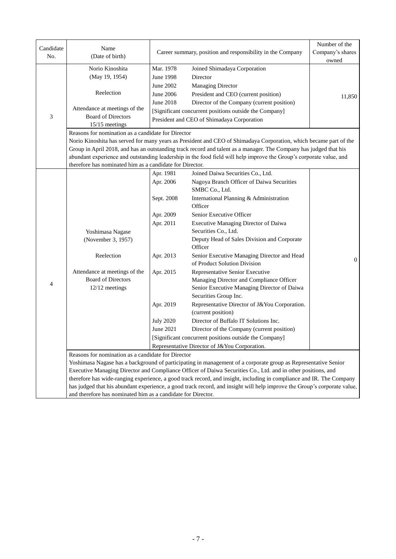| Candidate<br>No. | Name<br>(Date of birth)                                                      |                               | Career summary, position and responsibility in the Company                                                                                         | Number of the<br>Company's shares<br>owned |  |  |
|------------------|------------------------------------------------------------------------------|-------------------------------|----------------------------------------------------------------------------------------------------------------------------------------------------|--------------------------------------------|--|--|
|                  | Norio Kinoshita<br>(May 19, 1954)                                            | Mar. 1978<br><b>June 1998</b> | Joined Shimadaya Corporation<br>Director                                                                                                           |                                            |  |  |
|                  | Reelection                                                                   | June 2002<br>June 2006        | <b>Managing Director</b><br>President and CEO (current position)                                                                                   | 11,850                                     |  |  |
| 3                | Attendance at meetings of the<br><b>Board of Directors</b><br>15/15 meetings | June 2018                     | Director of the Company (current position)<br>[Significant concurrent positions outside the Company]<br>President and CEO of Shimadaya Corporation |                                            |  |  |
|                  | Reasons for nomination as a candidate for Director                           |                               |                                                                                                                                                    |                                            |  |  |
|                  |                                                                              |                               | Norio Kinoshita has served for many years as President and CEO of Shimadaya Corporation, which became part of the                                  |                                            |  |  |
|                  |                                                                              |                               | Group in April 2018, and has an outstanding track record and talent as a manager. The Company has judged that his                                  |                                            |  |  |
|                  |                                                                              |                               | abundant experience and outstanding leadership in the food field will help improve the Group's corporate value, and                                |                                            |  |  |
|                  | therefore has nominated him as a candidate for Director.                     |                               |                                                                                                                                                    |                                            |  |  |
|                  |                                                                              | Apr. 1981                     | Joined Daiwa Securities Co., Ltd.                                                                                                                  |                                            |  |  |
|                  |                                                                              | Apr. 2006                     | Nagoya Branch Officer of Daiwa Securities                                                                                                          |                                            |  |  |
|                  |                                                                              |                               | SMBC Co., Ltd.<br>International Planning & Administration                                                                                          |                                            |  |  |
|                  |                                                                              | Sept. 2008                    | Officer                                                                                                                                            |                                            |  |  |
|                  |                                                                              | Apr. 2009                     | Senior Executive Officer                                                                                                                           |                                            |  |  |
|                  |                                                                              | Apr. 2011                     | Executive Managing Director of Daiwa                                                                                                               |                                            |  |  |
|                  | Yoshimasa Nagase                                                             |                               | Securities Co., Ltd.                                                                                                                               |                                            |  |  |
|                  | (November 3, 1957)                                                           |                               | Deputy Head of Sales Division and Corporate<br>Officer                                                                                             |                                            |  |  |
|                  | Reelection                                                                   | Apr. 2013                     | Senior Executive Managing Director and Head<br>of Product Solution Division                                                                        | $\Omega$                                   |  |  |
|                  | Attendance at meetings of the                                                | Apr. 2015                     | Representative Senior Executive                                                                                                                    |                                            |  |  |
| 4                | <b>Board of Directors</b>                                                    |                               | Managing Director and Compliance Officer                                                                                                           |                                            |  |  |
|                  | 12/12 meetings                                                               |                               | Senior Executive Managing Director of Daiwa<br>Securities Group Inc.                                                                               |                                            |  |  |
|                  |                                                                              | Apr. 2019                     | Representative Director of J&You Corporation.<br>(current position)                                                                                |                                            |  |  |
|                  |                                                                              | <b>July 2020</b>              | Director of Buffalo IT Solutions Inc.                                                                                                              |                                            |  |  |
|                  |                                                                              | June 2021                     | Director of the Company (current position)                                                                                                         |                                            |  |  |
|                  |                                                                              |                               | [Significant concurrent positions outside the Company]                                                                                             |                                            |  |  |
|                  |                                                                              |                               | Representative Director of J&You Corporation.                                                                                                      |                                            |  |  |
|                  | Reasons for nomination as a candidate for Director                           |                               |                                                                                                                                                    |                                            |  |  |
|                  |                                                                              |                               | Yoshimasa Nagase has a background of participating in management of a corporate group as Representative Senior                                     |                                            |  |  |
|                  |                                                                              |                               | Executive Managing Director and Compliance Officer of Daiwa Securities Co., Ltd. and in other positions, and                                       |                                            |  |  |
|                  |                                                                              |                               | therefore has wide-ranging experience, a good track record, and insight, including in compliance and IR. The Company                               |                                            |  |  |
|                  |                                                                              |                               | has judged that his abundant experience, a good track record, and insight will help improve the Group's corporate value,                           |                                            |  |  |
|                  | and therefore has nominated him as a candidate for Director.                 |                               |                                                                                                                                                    |                                            |  |  |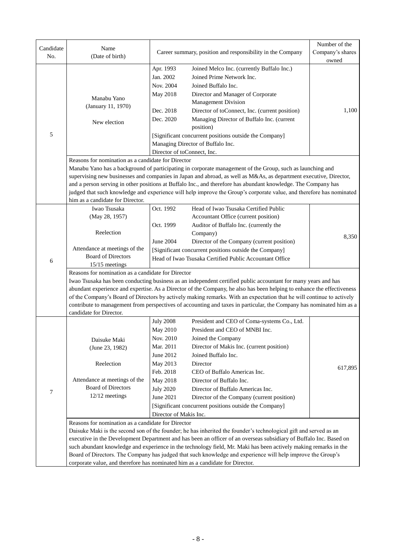| Candidate | Name                                                                                                                   |                                                         | Career summary, position and responsibility in the Company                                                                                                                                                                             | Number of the<br>Company's shares |  |  |  |
|-----------|------------------------------------------------------------------------------------------------------------------------|---------------------------------------------------------|----------------------------------------------------------------------------------------------------------------------------------------------------------------------------------------------------------------------------------------|-----------------------------------|--|--|--|
| No.       | (Date of birth)                                                                                                        |                                                         |                                                                                                                                                                                                                                        | owned                             |  |  |  |
|           |                                                                                                                        | Apr. 1993                                               | Joined Melco Inc. (currently Buffalo Inc.)                                                                                                                                                                                             |                                   |  |  |  |
|           |                                                                                                                        | Jan. 2002                                               | Joined Prime Network Inc.                                                                                                                                                                                                              |                                   |  |  |  |
|           |                                                                                                                        | Nov. 2004                                               | Joined Buffalo Inc.                                                                                                                                                                                                                    |                                   |  |  |  |
|           |                                                                                                                        | May 2018                                                | Director and Manager of Corporate                                                                                                                                                                                                      |                                   |  |  |  |
|           | Manabu Yano                                                                                                            |                                                         | Management Division                                                                                                                                                                                                                    |                                   |  |  |  |
|           | (January 11, 1970)                                                                                                     | Dec. 2018                                               | Director of toConnect, Inc. (current position)                                                                                                                                                                                         | 1,100                             |  |  |  |
|           | New election                                                                                                           | Dec. 2020                                               | Managing Director of Buffalo Inc. (current<br>position)                                                                                                                                                                                |                                   |  |  |  |
| 5         |                                                                                                                        |                                                         | [Significant concurrent positions outside the Company]                                                                                                                                                                                 |                                   |  |  |  |
|           |                                                                                                                        |                                                         | Managing Director of Buffalo Inc.                                                                                                                                                                                                      |                                   |  |  |  |
|           |                                                                                                                        | Director of toConnect, Inc.                             |                                                                                                                                                                                                                                        |                                   |  |  |  |
|           | Reasons for nomination as a candidate for Director                                                                     |                                                         |                                                                                                                                                                                                                                        |                                   |  |  |  |
|           |                                                                                                                        |                                                         | Manabu Yano has a background of participating in corporate management of the Group, such as launching and                                                                                                                              |                                   |  |  |  |
|           |                                                                                                                        |                                                         | supervising new businesses and companies in Japan and abroad, as well as M&As, as department executive, Director,                                                                                                                      |                                   |  |  |  |
|           |                                                                                                                        |                                                         | and a person serving in other positions at Buffalo Inc., and therefore has abundant knowledge. The Company has                                                                                                                         |                                   |  |  |  |
|           |                                                                                                                        |                                                         | judged that such knowledge and experience will help improve the Group's corporate value, and therefore has nominated                                                                                                                   |                                   |  |  |  |
|           | him as a candidate for Director.                                                                                       |                                                         |                                                                                                                                                                                                                                        |                                   |  |  |  |
|           | Iwao Tsusaka                                                                                                           | Oct. 1992                                               | Head of Iwao Tsusaka Certified Public                                                                                                                                                                                                  |                                   |  |  |  |
|           | (May 28, 1957)                                                                                                         |                                                         | Accountant Office (current position)                                                                                                                                                                                                   |                                   |  |  |  |
|           |                                                                                                                        | Oct. 1999                                               | Auditor of Buffalo Inc. (currently the                                                                                                                                                                                                 |                                   |  |  |  |
|           | Reelection                                                                                                             |                                                         | Company)                                                                                                                                                                                                                               | 8,350                             |  |  |  |
|           | Attendance at meetings of the                                                                                          | June 2004                                               | Director of the Company (current position)<br>[Significant concurrent positions outside the Company]                                                                                                                                   |                                   |  |  |  |
|           | <b>Board of Directors</b>                                                                                              |                                                         |                                                                                                                                                                                                                                        |                                   |  |  |  |
| 6         | $15/15$ meetings                                                                                                       | Head of Iwao Tsusaka Certified Public Accountant Office |                                                                                                                                                                                                                                        |                                   |  |  |  |
|           | Reasons for nomination as a candidate for Director                                                                     |                                                         |                                                                                                                                                                                                                                        |                                   |  |  |  |
|           | Iwao Tsusaka has been conducting business as an independent certified public accountant for many years and has         |                                                         |                                                                                                                                                                                                                                        |                                   |  |  |  |
|           | abundant experience and expertise. As a Director of the Company, he also has been helping to enhance the effectiveness |                                                         |                                                                                                                                                                                                                                        |                                   |  |  |  |
|           |                                                                                                                        |                                                         | of the Company's Board of Directors by actively making remarks. With an expectation that he will continue to actively                                                                                                                  |                                   |  |  |  |
|           |                                                                                                                        |                                                         | contribute to management from perspectives of accounting and taxes in particular, the Company has nominated him as a                                                                                                                   |                                   |  |  |  |
|           | candidate for Director.                                                                                                |                                                         |                                                                                                                                                                                                                                        |                                   |  |  |  |
|           |                                                                                                                        | <b>July 2008</b>                                        | President and CEO of Coma-systems Co., Ltd.                                                                                                                                                                                            |                                   |  |  |  |
|           |                                                                                                                        | May 2010                                                | President and CEO of MNBI Inc.                                                                                                                                                                                                         |                                   |  |  |  |
|           | Daisuke Maki                                                                                                           | Nov. 2010                                               | Joined the Company                                                                                                                                                                                                                     |                                   |  |  |  |
|           | (June 23, 1982)                                                                                                        | Mar. 2011                                               | Director of Makis Inc. (current position)                                                                                                                                                                                              |                                   |  |  |  |
|           |                                                                                                                        | June 2012                                               | Joined Buffalo Inc.                                                                                                                                                                                                                    |                                   |  |  |  |
|           | Reelection                                                                                                             | May 2013                                                | Director                                                                                                                                                                                                                               | 617,895                           |  |  |  |
|           |                                                                                                                        | Feb. 2018                                               | CEO of Buffalo Americas Inc.                                                                                                                                                                                                           |                                   |  |  |  |
|           | Attendance at meetings of the                                                                                          | May 2018                                                | Director of Buffalo Inc.                                                                                                                                                                                                               |                                   |  |  |  |
| 7         | <b>Board of Directors</b>                                                                                              | <b>July 2020</b>                                        | Director of Buffalo Americas Inc.                                                                                                                                                                                                      |                                   |  |  |  |
|           | 12/12 meetings                                                                                                         | June 2021                                               | Director of the Company (current position)                                                                                                                                                                                             |                                   |  |  |  |
|           |                                                                                                                        |                                                         | [Significant concurrent positions outside the Company]                                                                                                                                                                                 |                                   |  |  |  |
|           |                                                                                                                        | Director of Makis Inc.                                  |                                                                                                                                                                                                                                        |                                   |  |  |  |
|           | Reasons for nomination as a candidate for Director                                                                     |                                                         |                                                                                                                                                                                                                                        |                                   |  |  |  |
|           |                                                                                                                        |                                                         | Daisuke Maki is the second son of the founder; he has inherited the founder's technological gift and served as an                                                                                                                      |                                   |  |  |  |
|           |                                                                                                                        |                                                         | executive in the Development Department and has been an officer of an overseas subsidiary of Buffalo Inc. Based on<br>such abundant knowledge and experience in the technology field, Mr. Maki has been actively making remarks in the |                                   |  |  |  |
|           |                                                                                                                        |                                                         | Board of Directors. The Company has judged that such knowledge and experience will help improve the Group's                                                                                                                            |                                   |  |  |  |
|           | corporate value, and therefore has nominated him as a candidate for Director.                                          |                                                         |                                                                                                                                                                                                                                        |                                   |  |  |  |
|           |                                                                                                                        |                                                         |                                                                                                                                                                                                                                        |                                   |  |  |  |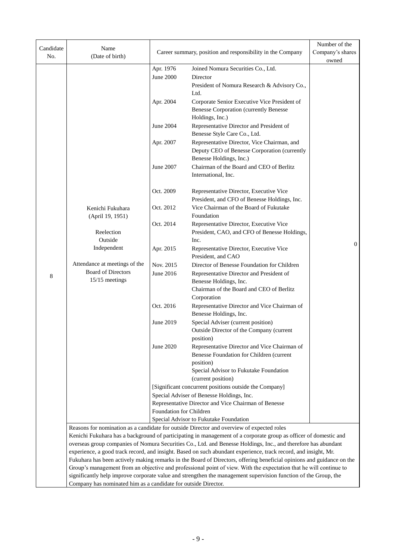| Candidate<br>No. | Name<br>(Date of birth)                                        | Career summary, position and responsibility in the Company | Number of the<br>Company's shares<br>owned                                                                                                                                                                                         |          |  |  |  |
|------------------|----------------------------------------------------------------|------------------------------------------------------------|------------------------------------------------------------------------------------------------------------------------------------------------------------------------------------------------------------------------------------|----------|--|--|--|
|                  |                                                                | Apr. 1976                                                  | Joined Nomura Securities Co., Ltd.                                                                                                                                                                                                 |          |  |  |  |
|                  |                                                                | <b>June 2000</b>                                           | Director                                                                                                                                                                                                                           |          |  |  |  |
|                  |                                                                |                                                            | President of Nomura Research & Advisory Co.,                                                                                                                                                                                       |          |  |  |  |
|                  |                                                                |                                                            | Ltd.                                                                                                                                                                                                                               |          |  |  |  |
|                  |                                                                | Apr. 2004                                                  | Corporate Senior Executive Vice President of                                                                                                                                                                                       |          |  |  |  |
|                  |                                                                |                                                            | <b>Benesse Corporation (currently Benesse</b>                                                                                                                                                                                      |          |  |  |  |
|                  |                                                                |                                                            | Holdings, Inc.)                                                                                                                                                                                                                    |          |  |  |  |
|                  |                                                                | June 2004                                                  | Representative Director and President of                                                                                                                                                                                           |          |  |  |  |
|                  |                                                                |                                                            | Benesse Style Care Co., Ltd.                                                                                                                                                                                                       |          |  |  |  |
|                  |                                                                | Apr. 2007                                                  | Representative Director, Vice Chairman, and                                                                                                                                                                                        |          |  |  |  |
|                  |                                                                |                                                            | Deputy CEO of Benesse Corporation (currently                                                                                                                                                                                       |          |  |  |  |
|                  |                                                                |                                                            | Benesse Holdings, Inc.)                                                                                                                                                                                                            |          |  |  |  |
|                  |                                                                | June 2007                                                  | Chairman of the Board and CEO of Berlitz                                                                                                                                                                                           |          |  |  |  |
|                  |                                                                |                                                            | International, Inc.                                                                                                                                                                                                                |          |  |  |  |
|                  |                                                                |                                                            |                                                                                                                                                                                                                                    |          |  |  |  |
|                  |                                                                | Oct. 2009                                                  | Representative Director, Executive Vice                                                                                                                                                                                            |          |  |  |  |
|                  |                                                                |                                                            | President, and CFO of Benesse Holdings, Inc.                                                                                                                                                                                       |          |  |  |  |
|                  | Kenichi Fukuhara                                               | Oct. 2012                                                  | Vice Chairman of the Board of Fukutake                                                                                                                                                                                             |          |  |  |  |
|                  | (April 19, 1951)                                               |                                                            | Foundation                                                                                                                                                                                                                         |          |  |  |  |
|                  |                                                                | Oct. 2014                                                  | Representative Director, Executive Vice                                                                                                                                                                                            |          |  |  |  |
|                  | Reelection                                                     |                                                            | President, CAO, and CFO of Benesse Holdings,                                                                                                                                                                                       |          |  |  |  |
|                  | Outside                                                        |                                                            | Inc.                                                                                                                                                                                                                               | $\Omega$ |  |  |  |
|                  | Independent                                                    | Apr. 2015                                                  | Representative Director, Executive Vice<br>President, and CAO                                                                                                                                                                      |          |  |  |  |
|                  | Attendance at meetings of the                                  | Nov. 2015                                                  | Director of Benesse Foundation for Children                                                                                                                                                                                        |          |  |  |  |
| 8                | <b>Board of Directors</b>                                      | June 2016                                                  | Representative Director and President of                                                                                                                                                                                           |          |  |  |  |
|                  | 15/15 meetings                                                 |                                                            | Benesse Holdings, Inc.                                                                                                                                                                                                             |          |  |  |  |
|                  |                                                                |                                                            | Chairman of the Board and CEO of Berlitz                                                                                                                                                                                           |          |  |  |  |
|                  |                                                                |                                                            | Corporation                                                                                                                                                                                                                        |          |  |  |  |
|                  |                                                                | Oct. 2016                                                  | Representative Director and Vice Chairman of<br>Benesse Holdings, Inc.                                                                                                                                                             |          |  |  |  |
|                  |                                                                | June 2019                                                  | Special Adviser (current position)                                                                                                                                                                                                 |          |  |  |  |
|                  |                                                                |                                                            | Outside Director of the Company (current                                                                                                                                                                                           |          |  |  |  |
|                  |                                                                |                                                            | position)                                                                                                                                                                                                                          |          |  |  |  |
|                  |                                                                | June 2020                                                  | Representative Director and Vice Chairman of                                                                                                                                                                                       |          |  |  |  |
|                  |                                                                |                                                            | Benesse Foundation for Children (current                                                                                                                                                                                           |          |  |  |  |
|                  |                                                                |                                                            | position)                                                                                                                                                                                                                          |          |  |  |  |
|                  |                                                                |                                                            | Special Advisor to Fukutake Foundation                                                                                                                                                                                             |          |  |  |  |
|                  |                                                                |                                                            | (current position)                                                                                                                                                                                                                 |          |  |  |  |
|                  |                                                                |                                                            | [Significant concurrent positions outside the Company]                                                                                                                                                                             |          |  |  |  |
|                  |                                                                |                                                            | Special Adviser of Benesse Holdings, Inc.                                                                                                                                                                                          |          |  |  |  |
|                  |                                                                |                                                            | Representative Director and Vice Chairman of Benesse                                                                                                                                                                               |          |  |  |  |
|                  |                                                                | Foundation for Children                                    |                                                                                                                                                                                                                                    |          |  |  |  |
|                  |                                                                |                                                            | Special Advisor to Fukutake Foundation                                                                                                                                                                                             |          |  |  |  |
|                  |                                                                |                                                            | Reasons for nomination as a candidate for outside Director and overview of expected roles                                                                                                                                          |          |  |  |  |
|                  |                                                                |                                                            | Kenichi Fukuhara has a background of participating in management of a corporate group as officer of domestic and<br>overseas group companies of Nomura Securities Co., Ltd. and Benesse Holdings, Inc., and therefore has abundant |          |  |  |  |
|                  |                                                                |                                                            | experience, a good track record, and insight. Based on such abundant experience, track record, and insight, Mr.                                                                                                                    |          |  |  |  |
|                  |                                                                |                                                            | Fukuhara has been actively making remarks in the Board of Directors, offering beneficial opinions and guidance on the                                                                                                              |          |  |  |  |
|                  |                                                                |                                                            | Group's management from an objective and professional point of view. With the expectation that he will continue to                                                                                                                 |          |  |  |  |
|                  |                                                                |                                                            | significantly help improve corporate value and strengthen the management supervision function of the Group, the                                                                                                                    |          |  |  |  |
|                  | Company has nominated him as a candidate for outside Director. |                                                            |                                                                                                                                                                                                                                    |          |  |  |  |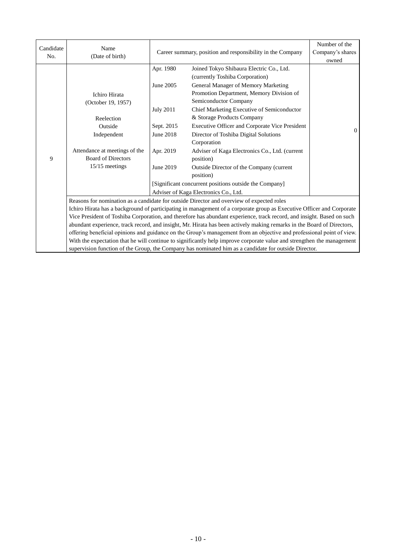| Candidate<br>No. | Name<br>(Date of birth)                                                                                                |                        | Career summary, position and responsibility in the Company                                                             |          |  |  |
|------------------|------------------------------------------------------------------------------------------------------------------------|------------------------|------------------------------------------------------------------------------------------------------------------------|----------|--|--|
|                  |                                                                                                                        | Apr. 1980<br>June 2005 | Joined Tokyo Shibaura Electric Co., Ltd.<br>(currently Toshiba Corporation)<br>General Manager of Memory Marketing     |          |  |  |
|                  | <b>Ichiro Hirata</b><br>(October 19, 1957)                                                                             |                        | Promotion Department, Memory Division of<br>Semiconductor Company                                                      |          |  |  |
|                  | Reelection                                                                                                             | <b>July 2011</b>       | Chief Marketing Executive of Semiconductor<br>& Storage Products Company                                               |          |  |  |
|                  | Outside                                                                                                                | Sept. 2015             | Executive Officer and Corporate Vice President                                                                         | $\theta$ |  |  |
|                  | Independent                                                                                                            | June 2018              | Director of Toshiba Digital Solutions<br>Corporation                                                                   |          |  |  |
| 9                | Attendance at meetings of the<br><b>Board of Directors</b>                                                             | Apr. 2019              | Adviser of Kaga Electronics Co., Ltd. (current<br>position)                                                            |          |  |  |
|                  | 15/15 meetings                                                                                                         | June 2019              | Outside Director of the Company (current<br>position)                                                                  |          |  |  |
|                  |                                                                                                                        |                        | [Significant concurrent positions outside the Company]                                                                 |          |  |  |
|                  |                                                                                                                        |                        | Adviser of Kaga Electronics Co., Ltd.                                                                                  |          |  |  |
|                  | Reasons for nomination as a candidate for outside Director and overview of expected roles                              |                        |                                                                                                                        |          |  |  |
|                  | Ichiro Hirata has a background of participating in management of a corporate group as Executive Officer and Corporate  |                        |                                                                                                                        |          |  |  |
|                  | Vice President of Toshiba Corporation, and therefore has abundant experience, track record, and insight. Based on such |                        |                                                                                                                        |          |  |  |
|                  |                                                                                                                        |                        | abundant experience, track record, and insight, Mr. Hirata has been actively making remarks in the Board of Directors, |          |  |  |
|                  |                                                                                                                        |                        | offering beneficial opinions and guidance on the Group's management from an objective and professional point of view.  |          |  |  |
|                  |                                                                                                                        |                        | With the expectation that he will continue to significantly help improve corporate value and strengthen the management |          |  |  |

supervision function of the Group, the Company has nominated him as a candidate for outside Director.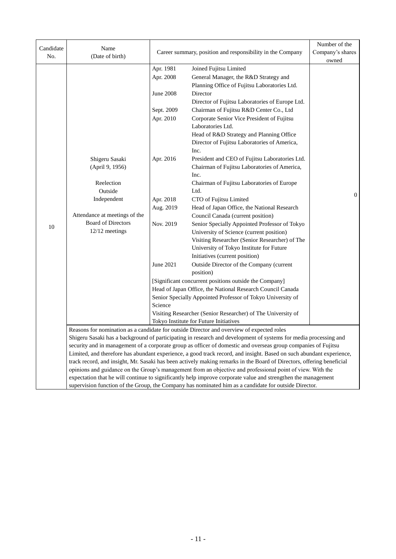| Candidate | Name                          |                                                            |                                                                                                                           | Number of the  |
|-----------|-------------------------------|------------------------------------------------------------|---------------------------------------------------------------------------------------------------------------------------|----------------|
| No.       | (Date of birth)               | Career summary, position and responsibility in the Company | Company's shares                                                                                                          |                |
|           |                               |                                                            |                                                                                                                           | owned          |
|           |                               | Apr. 1981                                                  | Joined Fujitsu Limited                                                                                                    |                |
|           |                               | Apr. 2008                                                  | General Manager, the R&D Strategy and                                                                                     |                |
|           |                               |                                                            | Planning Office of Fujitsu Laboratories Ltd.                                                                              |                |
|           |                               | <b>June 2008</b>                                           | Director                                                                                                                  |                |
|           |                               |                                                            | Director of Fujitsu Laboratories of Europe Ltd.                                                                           |                |
|           |                               | Sept. 2009                                                 | Chairman of Fujitsu R&D Center Co., Ltd                                                                                   |                |
|           |                               | Apr. 2010                                                  | Corporate Senior Vice President of Fujitsu                                                                                |                |
|           |                               |                                                            | Laboratories Ltd.                                                                                                         |                |
|           |                               |                                                            | Head of R&D Strategy and Planning Office                                                                                  |                |
|           |                               |                                                            | Director of Fujitsu Laboratories of America,                                                                              |                |
|           |                               |                                                            | Inc.                                                                                                                      |                |
|           | Shigeru Sasaki                | Apr. 2016                                                  | President and CEO of Fujitsu Laboratories Ltd.                                                                            |                |
|           | (April 9, 1956)               |                                                            | Chairman of Fujitsu Laboratories of America,                                                                              |                |
|           |                               |                                                            | Inc.                                                                                                                      |                |
|           | Reelection                    |                                                            | Chairman of Fujitsu Laboratories of Europe                                                                                |                |
|           | Outside                       |                                                            | Ltd.                                                                                                                      | $\overline{0}$ |
|           | Independent                   | Apr. 2018                                                  | CTO of Fujitsu Limited                                                                                                    |                |
|           |                               | Aug. 2019                                                  | Head of Japan Office, the National Research                                                                               |                |
|           | Attendance at meetings of the |                                                            | Council Canada (current position)                                                                                         |                |
| 10        | <b>Board of Directors</b>     | Nov. 2019                                                  | Senior Specially Appointed Professor of Tokyo                                                                             |                |
|           | 12/12 meetings                |                                                            | University of Science (current position)                                                                                  |                |
|           |                               |                                                            | Visiting Researcher (Senior Researcher) of The                                                                            |                |
|           |                               |                                                            | University of Tokyo Institute for Future                                                                                  |                |
|           |                               |                                                            | Initiatives (current position)                                                                                            |                |
|           |                               | June 2021                                                  | Outside Director of the Company (current                                                                                  |                |
|           |                               |                                                            | position)                                                                                                                 |                |
|           |                               |                                                            | [Significant concurrent positions outside the Company]                                                                    |                |
|           |                               |                                                            | Head of Japan Office, the National Research Council Canada<br>Senior Specially Appointed Professor of Tokyo University of |                |
|           |                               | Science                                                    |                                                                                                                           |                |
|           |                               |                                                            | Visiting Researcher (Senior Researcher) of The University of                                                              |                |
|           |                               |                                                            | Tokyo Institute for Future Initiatives                                                                                    |                |
|           |                               |                                                            | Reasons for nomination as a candidate for outside Director and overview of expected roles                                 |                |
|           |                               |                                                            | Shigeru Sasaki has a background of participating in research and development of systems for media processing and          |                |
|           |                               |                                                            | security and in management of a corporate group as officer of domestic and overseas group companies of Fujitsu            |                |
|           |                               |                                                            | Limited, and therefore has abundant experience, a good track record, and insight. Based on such abundant experience,      |                |
|           |                               |                                                            | track record, and insight, Mr. Sasaki has been actively making remarks in the Board of Directors, offering beneficial     |                |
|           |                               |                                                            | opinions and guidance on the Group's management from an objective and professional point of view. With the                |                |
|           |                               |                                                            | expectation that he will continue to significantly help improve corporate value and strengthen the management             |                |
|           |                               |                                                            | supervision function of the Group, the Company has nominated him as a candidate for outside Director.                     |                |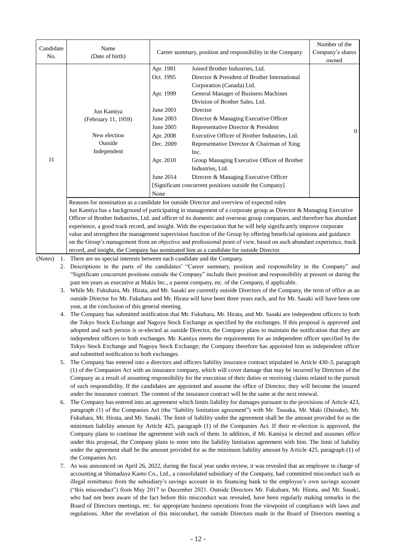| Candidate<br>No. | Name<br>(Date of birth)                                                                                          |           | Career summary, position and responsibility in the Company                                                               |          |  |  |
|------------------|------------------------------------------------------------------------------------------------------------------|-----------|--------------------------------------------------------------------------------------------------------------------------|----------|--|--|
|                  |                                                                                                                  | Apr. 1981 | Joined Brother Industries, Ltd.                                                                                          |          |  |  |
|                  |                                                                                                                  | Oct. 1995 | Director & President of Brother International                                                                            |          |  |  |
|                  |                                                                                                                  |           | Corporation (Canada) Ltd.                                                                                                |          |  |  |
|                  |                                                                                                                  | Apr. 1999 | General Manager of Business Machines                                                                                     |          |  |  |
|                  |                                                                                                                  |           | Division of Brother Sales, Ltd.                                                                                          |          |  |  |
|                  | Jun Kamiya<br>(February 11, 1959)                                                                                |           | Director                                                                                                                 |          |  |  |
|                  |                                                                                                                  |           | Director & Managing Executive Officer                                                                                    |          |  |  |
|                  |                                                                                                                  | June 2005 | Representative Director & President                                                                                      | $\Omega$ |  |  |
|                  | New election                                                                                                     | Apr. 2008 | Executive Officer of Brother Industries, Ltd.                                                                            |          |  |  |
|                  | Outside                                                                                                          | Dec. 2009 | Representative Director & Chairman of Xing                                                                               |          |  |  |
|                  | Independent                                                                                                      |           | Inc.                                                                                                                     |          |  |  |
| 11               |                                                                                                                  | Apr. 2010 | Group Managing Executive Officer of Brother                                                                              |          |  |  |
|                  |                                                                                                                  |           | Industries, Ltd.                                                                                                         |          |  |  |
|                  |                                                                                                                  | June 2014 | Director & Managing Executive Officer                                                                                    |          |  |  |
|                  |                                                                                                                  |           | [Significant concurrent positions outside the Company]                                                                   |          |  |  |
|                  |                                                                                                                  | None      |                                                                                                                          |          |  |  |
|                  | Reasons for nomination as a candidate for outside Director and overview of expected roles                        |           |                                                                                                                          |          |  |  |
|                  | Jun Kamiya has a background of participating in management of a corporate group as Director & Managing Executive |           |                                                                                                                          |          |  |  |
|                  |                                                                                                                  |           | Officer of Brother Industries, Ltd. and officer of its domestic and overseas group companies, and therefore has abundant |          |  |  |
|                  |                                                                                                                  |           | experience, a good track record, and insight. With the expectation that he will help significantly improve corporate     |          |  |  |
|                  |                                                                                                                  |           | value and strengthen the management supervision function of the Group by offering beneficial opinions and guidance       |          |  |  |

(Notes) 1. There are no special interests between each candidate and the Company.

record, and insight, the Company has nominated him as a candidate for outside Director.

2. Descriptions in the parts of the candidates' "Career summary, position and responsibility in the Company" and "Significant concurrent positions outside the Company" include their position and responsibility at present or during the past ten years as executive at Makis Inc., a parent company, etc. of the Company, if applicable.

on the Group's management from an objective and professional point of view, based on such abundant experience, track

- 3. While Mr. Fukuhara, Mr. Hirata, and Mr. Sasaki are currently outside Directors of the Company, the term of office as an outside Director for Mr. Fukuhara and Mr. Hirata will have been three years each, and for Mr. Sasaki will have been one year, at the conclusion of this general meeting.
- 4. The Company has submitted notification that Mr. Fukuhara, Mr. Hirata, and Mr. Sasaki are independent officers to both the Tokyo Stock Exchange and Nagoya Stock Exchange as specified by the exchanges. If this proposal is approved and adopted and each person is re-elected as outside Director, the Company plans to maintain the notification that they are independent officers to both exchanges. Mr. Kamiya meets the requirements for an independent officer specified by the Tokyo Stock Exchange and Nagoya Stock Exchange; the Company therefore has appointed him as independent officer and submitted notification to both exchanges.
- 5. The Company has entered into a directors and officers liability insurance contract stipulated in Article 430-3, paragraph (1) of the Companies Act with an insurance company, which will cover damage that may be incurred by Directors of the Company as a result of assuming responsibility for the execution of their duties or receiving claims related to the pursuit of such responsibility. If the candidates are appointed and assume the office of Director, they will become the insured under the insurance contract. The content of the insurance contract will be the same at the next renewal.
- 6. The Company has entered into an agreement which limits liability for damages pursuant to the provisions of Article 423, paragraph (1) of the Companies Act (the "liability limitation agreement") with Mr. Tsusaka, Mr. Maki (Daisuke), Mr. Fukuhara, Mr. Hirata, and Mr. Sasaki. The limit of liability under the agreement shall be the amount provided for as the minimum liability amount by Article 425, paragraph (1) of the Companies Act. If their re-election is approved, the Company plans to continue the agreement with each of them. In addition, if Mr. Kamiya is elected and assumes office under this proposal, the Company plans to enter into the liability limitation agreement with him. The limit of liability under the agreement shall be the amount provided for as the minimum liability amount by Article 425, paragraph (1) of the Companies Act.
- 7. As was announced on April 26, 2022, during the fiscal year under review, it was revealed that an employee in charge of accounting at Shimadaya Kanto Co., Ltd., a consolidated subsidiary of the Company, had committed misconduct such as illegal remittance from the subsidiary's savings account in its financing bank to the employee's own savings account ("this misconduct") from May 2017 to December 2021. Outside Directors Mr. Fukuhara, Mr. Hirata, and Mr. Sasaki, who had not been aware of the fact before this misconduct was revealed, have been regularly making remarks in the Board of Directors meetings, etc. for appropriate business operations from the viewpoint of compliance with laws and regulations. After the revelation of this misconduct, the outside Directors made in the Board of Directors meeting a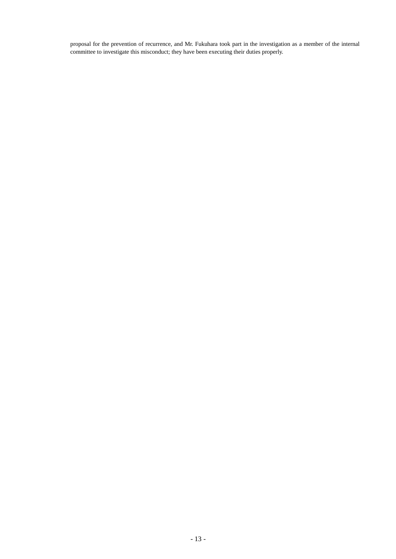proposal for the prevention of recurrence, and Mr. Fukuhara took part in the investigation as a member of the internal committee to investigate this misconduct; they have been executing their duties properly.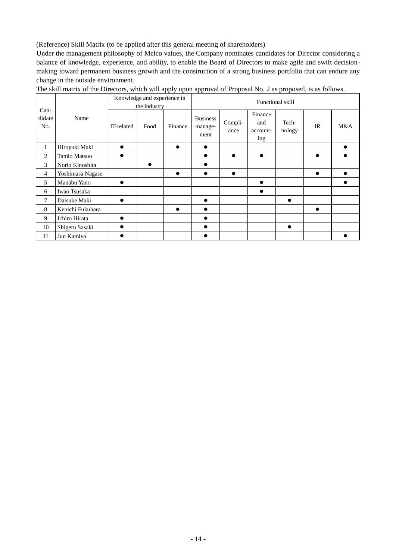(Reference) Skill Matrix (to be applied after this general meeting of shareholders)

Under the management philosophy of Melco values, the Company nominates candidates for Director considering a balance of knowledge, experience, and ability, to enable the Board of Directors to make agile and swift decisionmaking toward permanent business growth and the construction of a strong business portfolio that can endure any change in the outside environment.

| $Can-$         |                  | Knowledge and experience in<br>the industry |           | Functional skill |                                    |                 |                                   |                 |    |           |
|----------------|------------------|---------------------------------------------|-----------|------------------|------------------------------------|-----------------|-----------------------------------|-----------------|----|-----------|
| didate<br>No.  | Name             | IT-related                                  | Food      | Finance          | <b>Business</b><br>manage-<br>ment | Compli-<br>ance | Finance<br>and<br>account-<br>ing | Tech-<br>nology | IR | M&A       |
| $\mathbf{1}$   | Hiroyuki Maki    | ●                                           |           |                  | $\bullet$                          |                 |                                   |                 |    |           |
| $\overline{c}$ | Tamio Matsuo     |                                             |           |                  | ●                                  | $\bullet$       | $\bullet$                         |                 |    | $\bullet$ |
| 3              | Norio Kinoshita  |                                             | $\bullet$ |                  |                                    |                 |                                   |                 |    |           |
| $\overline{4}$ | Yoshimasa Nagase |                                             |           |                  |                                    | $\bullet$       |                                   |                 |    |           |
| 5              | Manabu Yano      |                                             |           |                  |                                    |                 |                                   |                 |    |           |
| 6              | Iwao Tsusaka     |                                             |           |                  |                                    |                 | ●                                 |                 |    |           |
| 7              | Daisuke Maki     |                                             |           |                  | $\bullet$                          |                 |                                   | $\bullet$       |    |           |
| 8              | Kenichi Fukuhara |                                             |           |                  | ●                                  |                 |                                   |                 |    |           |
| 9              | Ichiro Hirata    | ●                                           |           |                  |                                    |                 |                                   |                 |    |           |
| 10             | Shigeru Sasaki   |                                             |           |                  |                                    |                 |                                   | $\bullet$       |    |           |
| 11             | Jun Kamiya       |                                             |           |                  |                                    |                 |                                   |                 |    |           |

The skill matrix of the Directors, which will apply upon approval of Proposal No. 2 as proposed, is as follows.